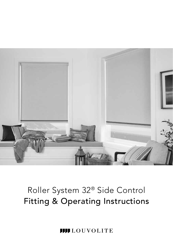

**III** LOUVOLITE Ш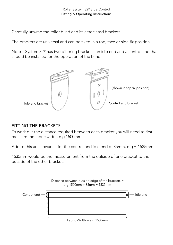Carefully unwrap the roller blind and its associated brackets.

The brackets are universal and can be fixed in a top, face or side fix position.

Note – System 32® has two differing brackets, an idle end and a control end that should be installed for the operation of the blind.



## FITTING THE BRACKETS

To work out the distance required between each bracket you will need to first measure the fabric width, e.g 1500mm.

Add to this an allowance for the control and idle end of 35mm, e.g = 1535mm.

1535mm would be the measurement from the outside of one bracket to the outside of the other bracket.

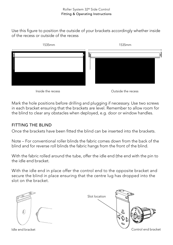Use this figure to position the outside of your brackets accordingly whether inside of the recess or outside of the recess



Inside the recess Outside the recess

Mark the hole positions before drilling and plugging if necessary. Use two screws in each bracket ensuring that the brackets are level. Remember to allow room for the blind to clear any obstacles when deployed, e.g. door or window handles.

## FITTING THE BLIND

Once the brackets have been fitted the blind can be inserted into the brackets.

Note – For conventional roller blinds the fabric comes down from the back of the blind and for reverse roll blinds the fabric hangs from the front of the blind.

With the fabric rolled around the tube, offer the idle end (the end with the pin to the idle end bracket.

With the idle end in place offer the control end to the opposite bracket and secure the blind in place ensuring that the centre lug has dropped into the slot on the bracket.

Ó

Idle end bracket

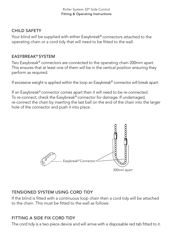## CHILD SAFETY

Your blind will be supplied with either Easybreak® connectors attached to the operating chain or a cord tidy that will need to be fitted to the wall.

## EASYBREAK® SYSTEM

Two Easybreak® connectors are connected to the operating chain 200mm apart. This ensures that at least one of them will be in the vertical position ensuring they perform as required.

If excessive weight is applied within the loop an Easybreak® connector will break apart.

If an Easybreak® connector comes apart then it will need to be re-connected. To re-connect, check the Easybreak® connector for damage. If undamaged, re-connect the chain by inserting the last ball on the end of the chain into the larger hole of the connector and push it into place.



## TENSIONED SYSTEM USING CORD TIDY

If the blind is fitted with a continuous loop chain then a cord tidy will be attached to the chain. This must be fitted to the wall as follows:

## FITTING A SIDE FIX CORD TIDY

The cord tidy is a two piece device and will arrive with a disposable red tab fitted to it.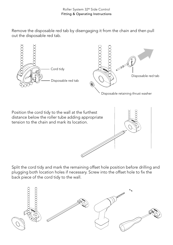Remove the disposable red tab by disengaging it from the chain and then pull out the disposable red tab.





Split the cord tidy and mark the remaining offset hole position before drilling and plugging both location holes if necessary. Screw into the offset hole to fix the back piece of the cord tidy to the wall.

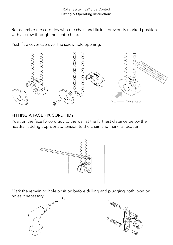Re-assemble the cord tidy with the chain and fix it in previously marked position with a screw through the centre hole.

Push fit a cover cap over the screw hole opening.



## FITTING A FACE FIX CORD TIDY

Position the face fix cord tidy to the wall at the furthest distance below the headrail adding appropriate tension to the chain and mark its location.



Mark the remaining hole position before drilling and plugging both location holes if necessary.



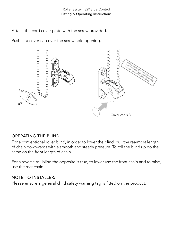Attach the cord cover plate with the screw provided.

Push fit a cover cap over the screw hole opening.



## OPERATING THE BLIND

For a conventional roller blind, in order to lower the blind, pull the rearmost length of chain downwards with a smooth and steady pressure. To roll the blind up do the same on the front length of chain.

For a reverse roll blind the opposite is true, to lower use the front chain and to raise, use the rear chain.

## NOTE TO INSTALLER:

Please ensure a general child safety warning tag is fitted on the product.